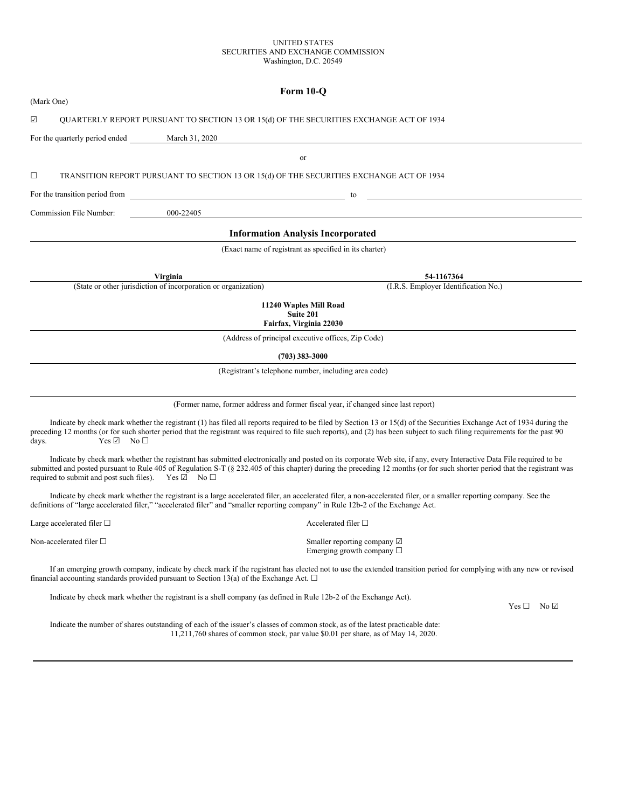## UNITED STATES SECURITIES AND EXCHANGE COMMISSION Washington, D.C. 20549

|                                                                       | Form 10-Q                                                                                                                        |                                                                                                                                                                                                                                                                                                                                                       |                                   |
|-----------------------------------------------------------------------|----------------------------------------------------------------------------------------------------------------------------------|-------------------------------------------------------------------------------------------------------------------------------------------------------------------------------------------------------------------------------------------------------------------------------------------------------------------------------------------------------|-----------------------------------|
| (Mark One)                                                            |                                                                                                                                  |                                                                                                                                                                                                                                                                                                                                                       |                                   |
| $\sqrt{ }$                                                            | QUARTERLY REPORT PURSUANT TO SECTION 13 OR 15(d) OF THE SECURITIES EXCHANGE ACT OF 1934                                          |                                                                                                                                                                                                                                                                                                                                                       |                                   |
| For the quarterly period ended March 31, 2020                         |                                                                                                                                  |                                                                                                                                                                                                                                                                                                                                                       |                                   |
|                                                                       | or                                                                                                                               |                                                                                                                                                                                                                                                                                                                                                       |                                   |
| $\Box$                                                                | TRANSITION REPORT PURSUANT TO SECTION 13 OR 15(d) OF THE SECURITIES EXCHANGE ACT OF 1934                                         |                                                                                                                                                                                                                                                                                                                                                       |                                   |
|                                                                       |                                                                                                                                  |                                                                                                                                                                                                                                                                                                                                                       |                                   |
| Commission File Number:                                               | 000-22405                                                                                                                        |                                                                                                                                                                                                                                                                                                                                                       |                                   |
|                                                                       | <b>Information Analysis Incorporated</b>                                                                                         |                                                                                                                                                                                                                                                                                                                                                       |                                   |
|                                                                       | (Exact name of registrant as specified in its charter)                                                                           |                                                                                                                                                                                                                                                                                                                                                       |                                   |
|                                                                       |                                                                                                                                  |                                                                                                                                                                                                                                                                                                                                                       |                                   |
|                                                                       | Virginia<br>(State or other jurisdiction of incorporation or organization)                                                       | 54-1167364<br>(I.R.S. Employer Identification No.)                                                                                                                                                                                                                                                                                                    |                                   |
|                                                                       | 11240 Waples Mill Road                                                                                                           |                                                                                                                                                                                                                                                                                                                                                       |                                   |
|                                                                       | Suite 201<br>Fairfax, Virginia 22030                                                                                             |                                                                                                                                                                                                                                                                                                                                                       |                                   |
|                                                                       | (Address of principal executive offices, Zip Code)                                                                               |                                                                                                                                                                                                                                                                                                                                                       |                                   |
|                                                                       | $(703)$ 383-3000                                                                                                                 |                                                                                                                                                                                                                                                                                                                                                       |                                   |
|                                                                       | (Registrant's telephone number, including area code)                                                                             |                                                                                                                                                                                                                                                                                                                                                       |                                   |
|                                                                       |                                                                                                                                  |                                                                                                                                                                                                                                                                                                                                                       |                                   |
|                                                                       | (Former name, former address and former fiscal year, if changed since last report)                                               |                                                                                                                                                                                                                                                                                                                                                       |                                   |
| $Yes \ \n\mathbb{Z} \quad No \ \Box$<br>days.                         |                                                                                                                                  | Indicate by check mark whether the registrant (1) has filed all reports required to be filed by Section 13 or 15(d) of the Securities Exchange Act of 1934 during the<br>preceding 12 months (or for such shorter period that the registrant was required to file such reports), and (2) has been subject to such filing requirements for the past 90 |                                   |
| required to submit and post such files). Yes $\boxtimes$ No $\square$ |                                                                                                                                  | Indicate by check mark whether the registrant has submitted electronically and posted on its corporate Web site, if any, every Interactive Data File required to be<br>submitted and posted pursuant to Rule 405 of Regulation S-T (§ 232.405 of this chapter) during the preceding 12 months (or for such shorter period that the registrant was     |                                   |
|                                                                       | definitions of "large accelerated filer," "accelerated filer" and "smaller reporting company" in Rule 12b-2 of the Exchange Act. | Indicate by check mark whether the registrant is a large accelerated filer, an accelerated filer, a non-accelerated filer, or a smaller reporting company. See the                                                                                                                                                                                    |                                   |
| Large accelerated filer $\Box$                                        |                                                                                                                                  | Accelerated filer $\Box$                                                                                                                                                                                                                                                                                                                              |                                   |
| Non-accelerated filer $\Box$                                          |                                                                                                                                  | Smaller reporting company $\boxtimes$<br>Emerging growth company $\Box$                                                                                                                                                                                                                                                                               |                                   |
|                                                                       | financial accounting standards provided pursuant to Section 13(a) of the Exchange Act. $\Box$                                    | If an emerging growth company, indicate by check mark if the registrant has elected not to use the extended transition period for complying with any new or revised                                                                                                                                                                                   |                                   |
|                                                                       | Indicate by check mark whether the registrant is a shell company (as defined in Rule 12b-2 of the Exchange Act).                 |                                                                                                                                                                                                                                                                                                                                                       | Yes $\square$<br>$\overline{N_0}$ |
|                                                                       |                                                                                                                                  |                                                                                                                                                                                                                                                                                                                                                       |                                   |

Indicate the number of shares outstanding of each of the issuer's classes of common stock, as of the latest practicable date: 11,211,760 shares of common stock, par value \$0.01 per share, as of May 14, 2020.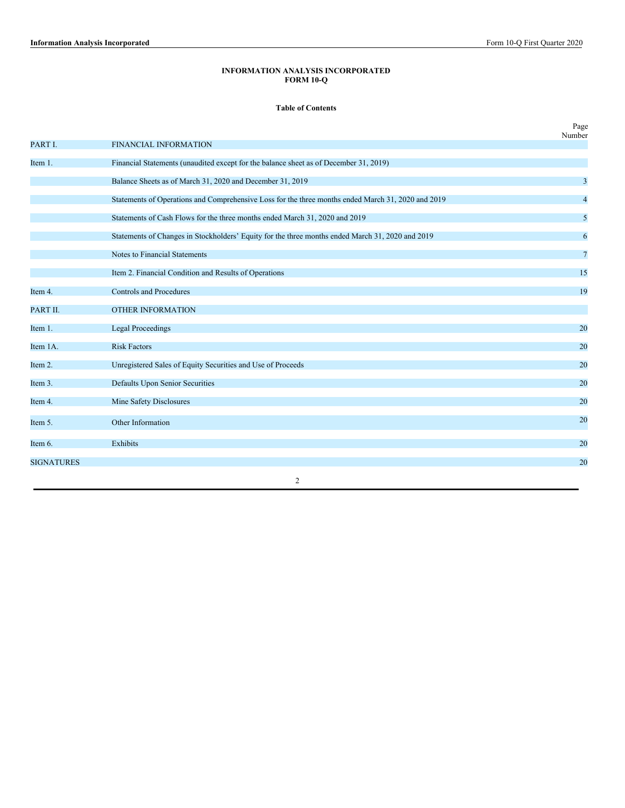## **INFORMATION ANALYSIS INCORPORATED FORM 10-Q**

# **Table of Contents**

|                   |                                                                                                    | Page<br>Number  |
|-------------------|----------------------------------------------------------------------------------------------------|-----------------|
| PART I.           | <b>FINANCIAL INFORMATION</b>                                                                       |                 |
| Item 1.           | Financial Statements (unaudited except for the balance sheet as of December 31, 2019)              |                 |
|                   | Balance Sheets as of March 31, 2020 and December 31, 2019                                          | 3               |
|                   | Statements of Operations and Comprehensive Loss for the three months ended March 31, 2020 and 2019 | $\overline{4}$  |
|                   | Statements of Cash Flows for the three months ended March 31, 2020 and 2019                        | 5               |
|                   | Statements of Changes in Stockholders' Equity for the three months ended March 31, 2020 and 2019   | 6               |
|                   | Notes to Financial Statements                                                                      | $7\phantom{.0}$ |
|                   | Item 2. Financial Condition and Results of Operations                                              | 15              |
| Item 4.           | <b>Controls and Procedures</b>                                                                     | 19              |
| PART II.          | <b>OTHER INFORMATION</b>                                                                           |                 |
| Item 1.           | <b>Legal Proceedings</b>                                                                           | 20              |
| Item 1A.          | <b>Risk Factors</b>                                                                                | 20              |
| Item 2.           | Unregistered Sales of Equity Securities and Use of Proceeds                                        | 20              |
| Item 3.           | Defaults Upon Senior Securities                                                                    | 20              |
| Item 4.           | Mine Safety Disclosures                                                                            | 20              |
| Item 5.           | Other Information                                                                                  | 20              |
| Item 6.           | Exhibits                                                                                           | 20              |
| <b>SIGNATURES</b> |                                                                                                    | 20              |
|                   | $\overline{c}$                                                                                     |                 |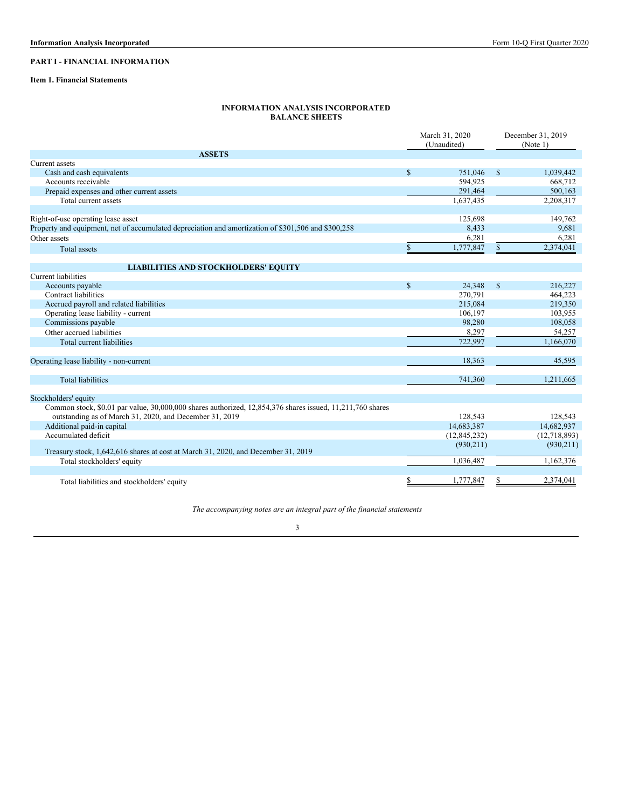# **PART I - FINANCIAL INFORMATION**

# **Item 1. Financial Statements**

# **INFORMATION ANALYSIS INCORPORATED BALANCE SHEETS**

|                                                                                                           |              | March 31, 2020<br>(Unaudited) |               | December 31, 2019<br>(Note 1) |
|-----------------------------------------------------------------------------------------------------------|--------------|-------------------------------|---------------|-------------------------------|
| <b>ASSETS</b>                                                                                             |              |                               |               |                               |
| Current assets                                                                                            |              |                               |               |                               |
| Cash and cash equivalents                                                                                 | $\mathbb{S}$ | 751,046                       | $\mathbf S$   | 1,039,442                     |
| Accounts receivable                                                                                       |              | 594,925                       |               | 668,712                       |
| Prepaid expenses and other current assets                                                                 |              | 291,464                       |               | 500,163                       |
| Total current assets                                                                                      |              | 1,637,435                     |               | 2,208,317                     |
|                                                                                                           |              |                               |               |                               |
| Right-of-use operating lease asset                                                                        |              | 125,698                       |               | 149,762                       |
| Property and equipment, net of accumulated depreciation and amortization of \$301,506 and \$300,258       |              | 8,433                         |               | 9,681                         |
| Other assets                                                                                              |              | 6,281                         |               | 6.281                         |
| <b>Total assets</b>                                                                                       | $\mathbb{S}$ | 1,777,847                     | $\mathbb{S}$  | 2,374,041                     |
| <b>LIABILITIES AND STOCKHOLDERS' EQUITY</b>                                                               |              |                               |               |                               |
| <b>Current liabilities</b>                                                                                |              |                               |               |                               |
| Accounts payable                                                                                          | $\mathbf S$  | 24,348                        | $\mathsf{\$}$ | 216,227                       |
| Contract liabilities                                                                                      |              | 270,791                       |               | 464,223                       |
| Accrued payroll and related liabilities                                                                   |              | 215,084                       |               | 219,350                       |
| Operating lease liability - current                                                                       |              | 106,197                       |               | 103,955                       |
| Commissions payable                                                                                       |              | 98,280                        |               | 108,058                       |
| Other accrued liabilities                                                                                 |              | 8,297                         |               | 54,257                        |
| Total current liabilities                                                                                 |              | 722,997                       |               | 1,166,070                     |
| Operating lease liability - non-current                                                                   |              | 18,363                        |               | 45,595                        |
| <b>Total liabilities</b>                                                                                  |              | 741,360                       |               | 1.211.665                     |
| Stockholders' equity                                                                                      |              |                               |               |                               |
| Common stock, \$0.01 par value, 30,000,000 shares authorized, 12,854,376 shares issued, 11,211,760 shares |              |                               |               |                               |
| outstanding as of March 31, 2020, and December 31, 2019                                                   |              | 128,543                       |               | 128,543                       |
| Additional paid-in capital                                                                                |              | 14,683,387                    |               | 14,682,937                    |
| Accumulated deficit                                                                                       |              | (12, 845, 232)                |               | (12,718,893)                  |
| Treasury stock, 1,642,616 shares at cost at March 31, 2020, and December 31, 2019                         |              | (930, 211)                    |               | (930,211)                     |
| Total stockholders' equity                                                                                |              | 1,036,487                     |               | 1,162,376                     |
| Total liabilities and stockholders' equity                                                                | \$           | 1,777,847                     | S             | 2,374,041                     |

*The accompanying notes are an integral part of the financial statements*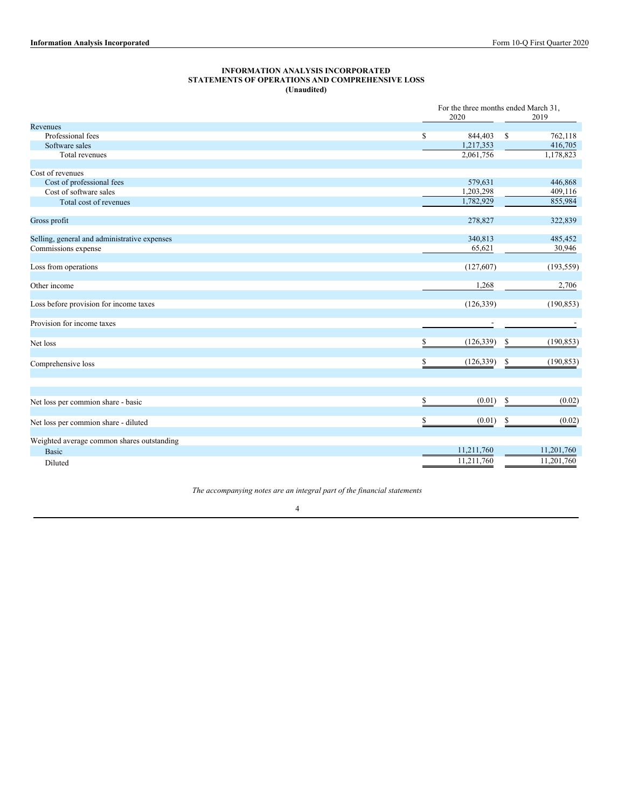### **INFORMATION ANALYSIS INCORPORATED STATEMENTS OF OPERATIONS AND COMPREHENSIVE LOSS (Unaudited)**

|                                              |    | For the three months ended March 31, |    |            |
|----------------------------------------------|----|--------------------------------------|----|------------|
|                                              |    | 2020                                 |    | 2019       |
| Revenues                                     |    |                                      |    |            |
| Professional fees                            | \$ | 844,403                              | S  | 762,118    |
| Software sales                               |    | 1,217,353                            |    | 416,705    |
| Total revenues                               |    | 2,061,756                            |    | 1,178,823  |
| Cost of revenues                             |    |                                      |    |            |
| Cost of professional fees                    |    | 579,631                              |    | 446,868    |
| Cost of software sales                       |    | 1,203,298                            |    | 409,116    |
| Total cost of revenues                       |    | 1,782,929                            |    | 855,984    |
| Gross profit                                 |    | 278,827                              |    | 322,839    |
| Selling, general and administrative expenses |    | 340,813                              |    | 485,452    |
| Commissions expense                          |    | 65,621                               |    | 30,946     |
|                                              |    |                                      |    |            |
| Loss from operations                         |    | (127, 607)                           |    | (193, 559) |
| Other income                                 |    | 1,268                                |    | 2,706      |
| Loss before provision for income taxes       |    | (126, 339)                           |    | (190, 853) |
| Provision for income taxes                   |    |                                      |    |            |
| Net loss                                     | S  | (126, 339)                           | S  | (190, 853) |
| Comprehensive loss                           | \$ | (126, 339)                           | S  | (190, 853) |
|                                              |    |                                      |    |            |
| Net loss per commion share - basic           | \$ | (0.01)                               | \$ | (0.02)     |
|                                              |    |                                      |    |            |
| Net loss per commion share - diluted         | \$ | (0.01)                               | S  | (0.02)     |
| Weighted average common shares outstanding   |    |                                      |    |            |
| <b>Basic</b>                                 |    | 11,211,760                           |    | 11,201,760 |
| Diluted                                      |    | $\overline{11,}211,760$              |    | 11,201,760 |

*The accompanying notes are an integral part of the financial statements*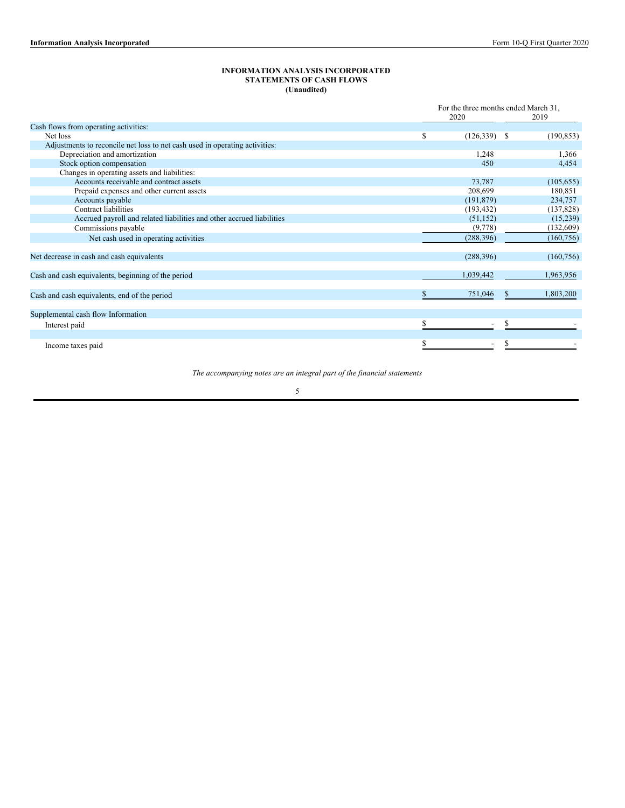#### **INFORMATION ANALYSIS INCORPORATED STATEMENTS OF CASH FLOWS (Unaudited)**

|                                                                             |   | For the three months ended March 31, |  |            |
|-----------------------------------------------------------------------------|---|--------------------------------------|--|------------|
|                                                                             |   | 2020                                 |  | 2019       |
| Cash flows from operating activities:                                       |   |                                      |  |            |
| Net loss                                                                    | S | $(126,339)$ \$                       |  | (190, 853) |
| Adjustments to reconcile net loss to net cash used in operating activities: |   |                                      |  |            |
| Depreciation and amortization                                               |   | 1,248                                |  | 1,366      |
| Stock option compensation                                                   |   | 450                                  |  | 4,454      |
| Changes in operating assets and liabilities:                                |   |                                      |  |            |
| Accounts receivable and contract assets                                     |   | 73,787                               |  | (105, 655) |
| Prepaid expenses and other current assets                                   |   | 208,699                              |  | 180,851    |
| Accounts payable                                                            |   | (191, 879)                           |  | 234,757    |
| Contract liabilities                                                        |   | (193, 432)                           |  | (137, 828) |
| Accrued payroll and related liabilities and other accrued liabilities       |   | (51, 152)                            |  | (15,239)   |
| Commissions payable                                                         |   | (9,778)                              |  | (132,609)  |
| Net cash used in operating activities                                       |   | (288, 396)                           |  | (160, 756) |
| Net decrease in cash and cash equivalents                                   |   | (288, 396)                           |  | (160, 756) |
| Cash and cash equivalents, beginning of the period                          |   | 1,039,442                            |  | 1,963,956  |
| Cash and cash equivalents, end of the period                                |   | 751,046                              |  | 1,803,200  |
| Supplemental cash flow Information                                          |   |                                      |  |            |
| Interest paid                                                               | S |                                      |  |            |
| Income taxes paid                                                           |   |                                      |  |            |

*The accompanying notes are an integral part of the financial statements*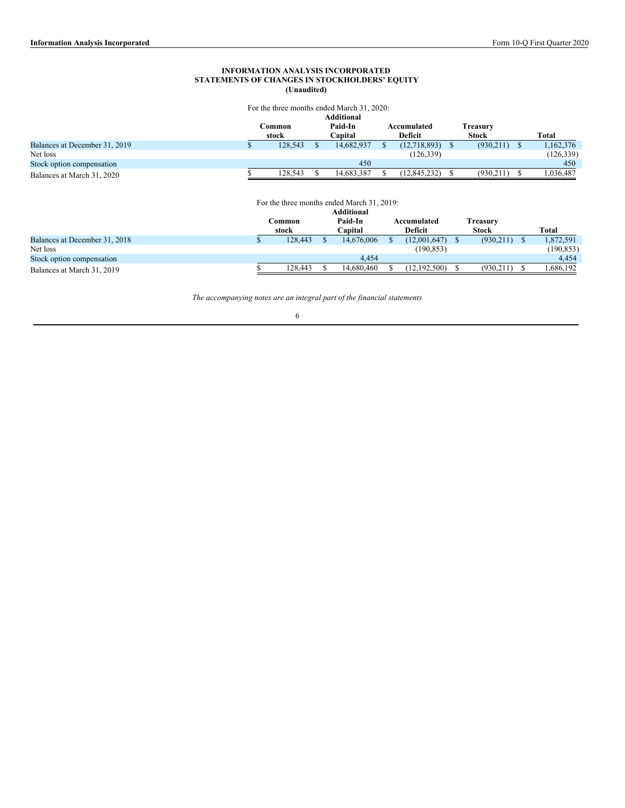### **INFORMATION ANALYSIS INCORPORATED STATEMENTS OF CHANGES IN STOCKHOLDERS' EQUITY (Unaudited)**

|                               |    | For the three months ended March 31, 2020: |    | Additional         |     |                        |     |                                 |               |              |
|-------------------------------|----|--------------------------------------------|----|--------------------|-----|------------------------|-----|---------------------------------|---------------|--------------|
|                               |    | Common<br>stock                            |    | Paid-In<br>Capital |     | Accumulated<br>Deficit |     | Treasury<br><b>Stock</b>        |               | <b>Total</b> |
| Balances at December 31, 2019 | S. | 128,543                                    | S. | 14,682,937         | \$. | (12,718,893)           | S   | $(930,211)$ \$                  |               | 1,162,376    |
| Net loss                      |    |                                            |    |                    |     | (126, 339)             |     |                                 |               | (126, 339)   |
| Stock option compensation     |    |                                            |    | 450                |     |                        |     |                                 |               | 450          |
| Balances at March 31, 2020    |    | 128,543                                    |    | 14,683,387         |     | (12, 845, 232)         | ъ   | (930,211)                       | -S            | 1,036,487    |
|                               |    | For the three months ended March 31, 2019: |    | <b>Additional</b>  |     |                        |     |                                 |               |              |
|                               |    | Common<br>stock                            |    | Paid-In<br>Capital |     | Accumulated<br>Deficit |     | <b>Treasury</b><br><b>Stock</b> |               | Total        |
| Balances at December 31, 2018 | S. | 128,443                                    | S. | 14,676,006         | S.  | (12,001,647)           | \$. | (930,211)                       | <sup>\$</sup> | 1,872,591    |
| Net loss                      |    |                                            |    |                    |     | (190, 853)             |     |                                 |               | (190, 853)   |
| Stock option compensation     |    |                                            |    | 4,454              |     |                        |     |                                 |               | 4,454        |
| Balances at March 31, 2019    |    | 128,443                                    |    | 14.680.460         |     | (12, 192, 500)         | S   | (930, 211)                      |               | 1,686,192    |

*The accompanying notes are an integral part of the financial statements*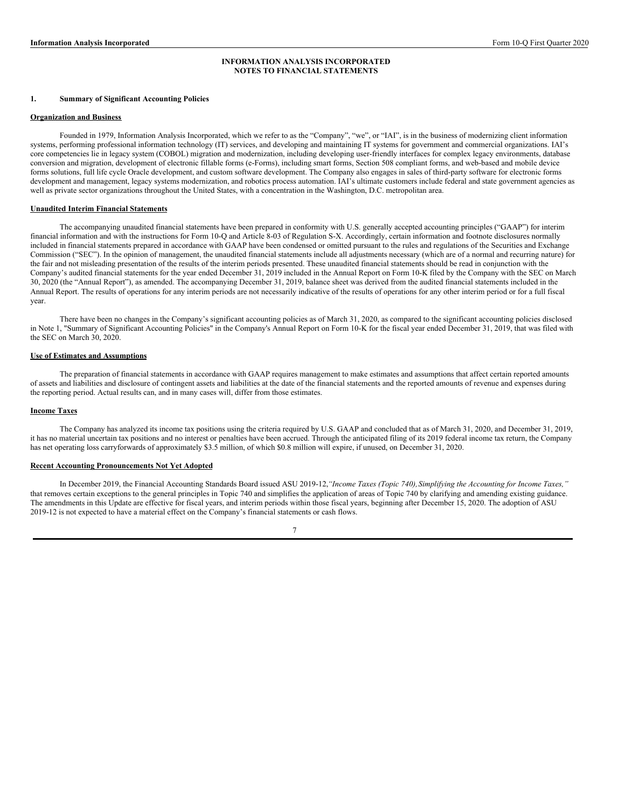## **INFORMATION ANALYSIS INCORPORATED NOTES TO FINANCIAL STATEMENTS**

## **1. Summary of Significant Accounting Policies**

## **Organization and Business**

Founded in 1979, Information Analysis Incorporated, which we refer to as the "Company", "we", or "IAI", is in the business of modernizing client information systems, performing professional information technology (IT) services, and developing and maintaining IT systems for government and commercial organizations. IAI's core competencies lie in legacy system (COBOL) migration and modernization, including developing user-friendly interfaces for complex legacy environments, database conversion and migration, development of electronic fillable forms (e-Forms), including smart forms, Section 508 compliant forms, and web-based and mobile device forms solutions, full life cycle Oracle development, and custom software development. The Company also engages in sales of third-party software for electronic forms development and management, legacy systems modernization, and robotics process automation. IAI's ultimate customers include federal and state government agencies as well as private sector organizations throughout the United States, with a concentration in the Washington, D.C. metropolitan area.

### **Unaudited Interim Financial Statements**

The accompanying unaudited financial statements have been prepared in conformity with U.S. generally accepted accounting principles ("GAAP") for interim financial information and with the instructions for Form 10-Q and Article 8-03 of Regulation S-X. Accordingly, certain information and footnote disclosures normally included in financial statements prepared in accordance with GAAP have been condensed or omitted pursuant to the rules and regulations of the Securities and Exchange Commission ("SEC"). In the opinion of management, the unaudited financial statements include all adjustments necessary (which are of a normal and recurring nature) for the fair and not misleading presentation of the results of the interim periods presented. These unaudited financial statements should be read in conjunction with the Company's audited financial statements for the year ended December 31, 2019 included in the Annual Report on Form 10-K filed by the Company with the SEC on March 30, 2020 (the "Annual Report"), as amended. The accompanying December 31, 2019, balance sheet was derived from the audited financial statements included in the Annual Report. The results of operations for any interim periods are not necessarily indicative of the results of operations for any other interim period or for a full fiscal year.

There have been no changes in the Company's significant accounting policies as of March 31, 2020, as compared to the significant accounting policies disclosed in Note 1, "Summary of Significant Accounting Policies" in the Company's Annual Report on Form 10-K for the fiscal year ended December 31, 2019, that was filed with the SEC on March 30, 2020.

### **Use of Estimates and Assumptions**

The preparation of financial statements in accordance with GAAP requires management to make estimates and assumptions that affect certain reported amounts of assets and liabilities and disclosure of contingent assets and liabilities at the date of the financial statements and the reported amounts of revenue and expenses during the reporting period. Actual results can, and in many cases will, differ from those estimates.

#### **Income Taxes**

The Company has analyzed its income tax positions using the criteria required by U.S. GAAP and concluded that as of March 31, 2020, and December 31, 2019, it has no material uncertain tax positions and no interest or penalties have been accrued. Through the anticipated filing of its 2019 federal income tax return, the Company has net operating loss carryforwards of approximately \$3.5 million, of which \$0.8 million will expire, if unused, on December 31, 2020.

## **Recent Accounting Pronouncements Not Yet Adopted**

In December 2019, the Financial Accounting Standards Board issued ASU 2019-12,*"Income Taxes (Topic 740),Simplifying the Accounting for Income Taxes,"* that removes certain exceptions to the general principles in Topic 740 and simplifies the application of areas of Topic 740 by clarifying and amending existing guidance. The amendments in this Update are effective for fiscal years, and interim periods within those fiscal years, beginning after December 15, 2020. The adoption of ASU 2019-12 is not expected to have a material effect on the Company's financial statements or cash flows.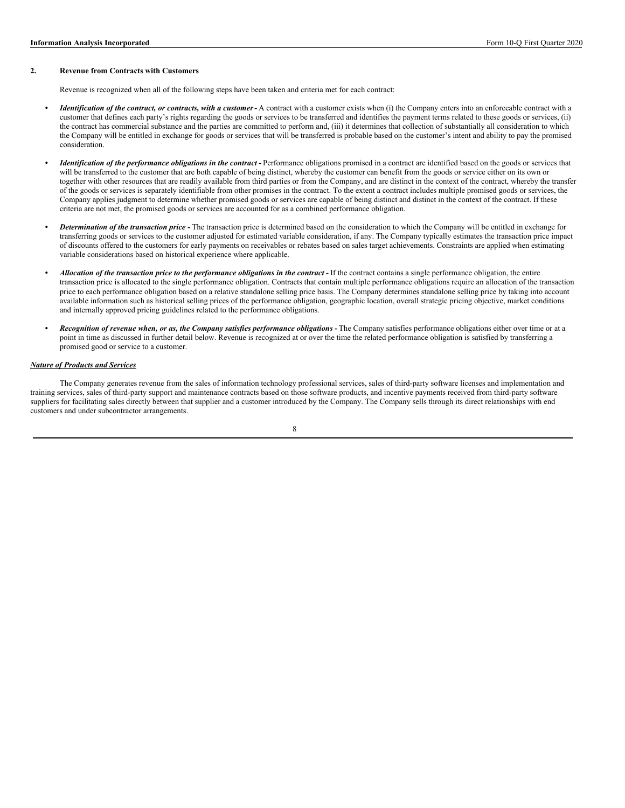## **2. Revenue from Contracts with Customers**

Revenue is recognized when all of the following steps have been taken and criteria met for each contract:

- Identification of the contract, or contracts, with a customer-A contract with a customer exists when (i) the Company enters into an enforceable contract with a customer that defines each party's rights regarding the goods or services to be transferred and identifies the payment terms related to these goods or services, (ii) the contract has commercial substance and the parties are committed to perform and, (iii) it determines that collection of substantially all consideration to which the Company will be entitled in exchange for goods or services that will be transferred is probable based on the customer's intent and ability to pay the promised consideration.
- Identification of the performance obligations in the contract Performance obligations promised in a contract are identified based on the goods or services that will be transferred to the customer that are both capable of being distinct, whereby the customer can benefit from the goods or service either on its own or together with other resources that are readily available from third parties or from the Company, and are distinct in the context of the contract, whereby the transfer of the goods or services is separately identifiable from other promises in the contract. To the extent a contract includes multiple promised goods or services, the Company applies judgment to determine whether promised goods or services are capable of being distinct and distinct in the context of the contract. If these criteria are not met, the promised goods or services are accounted for as a combined performance obligation.
- *• Determination of the transaction price* **-** The transaction price is determined based on the consideration to which the Company will be entitled in exchange for transferring goods or services to the customer adjusted for estimated variable consideration, if any. The Company typically estimates the transaction price impact of discounts offered to the customers for early payments on receivables or rebates based on sales target achievements. Constraints are applied when estimating variable considerations based on historical experience where applicable.
- Allocation of the transaction price to the performance obligations in the contract If the contract contains a single performance obligation, the entire transaction price is allocated to the single performance obligation. Contracts that contain multiple performance obligations require an allocation of the transaction price to each performance obligation based on a relative standalone selling price basis. The Company determines standalone selling price by taking into account available information such as historical selling prices of the performance obligation, geographic location, overall strategic pricing objective, market conditions and internally approved pricing guidelines related to the performance obligations.
- Recognition of revenue when, or as, the Company satisfies performance obligations The Company satisfies performance obligations either over time or at a point in time as discussed in further detail below. Revenue is recognized at or over the time the related performance obligation is satisfied by transferring a promised good or service to a customer.

### *Nature of Products and Services*

The Company generates revenue from the sales of information technology professional services, sales of third-party software licenses and implementation and training services, sales of third-party support and maintenance contracts based on those software products, and incentive payments received from third-party software suppliers for facilitating sales directly between that supplier and a customer introduced by the Company. The Company sells through its direct relationships with end customers and under subcontractor arrangements.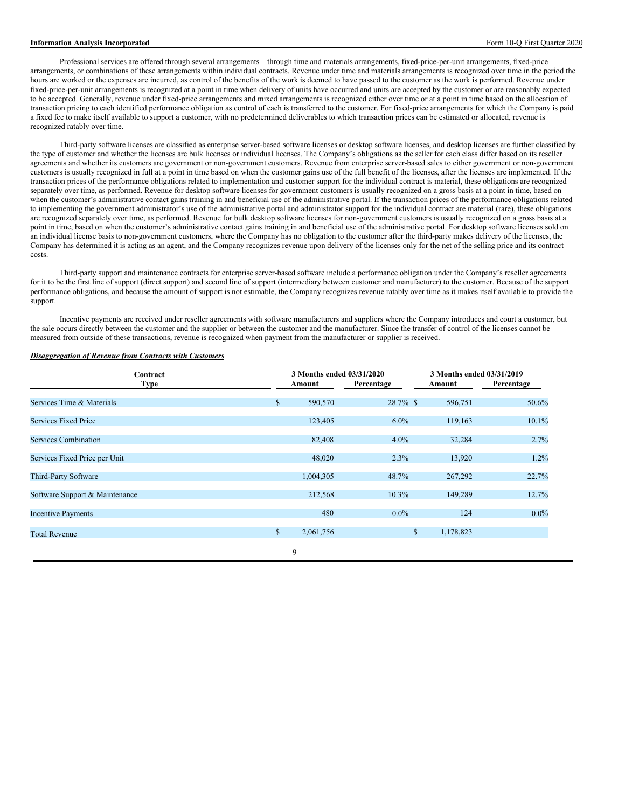## **Information Analysis Incorporated** Form 10-Q First Quarter 2020

Professional services are offered through several arrangements – through time and materials arrangements, fixed-price-per-unit arrangements, fixed-price arrangements, or combinations of these arrangements within individual contracts. Revenue under time and materials arrangements is recognized over time in the period the hours are worked or the expenses are incurred, as control of the benefits of the work is deemed to have passed to the customer as the work is performed. Revenue under fixed-price-per-unit arrangements is recognized at a point in time when delivery of units have occurred and units are accepted by the customer or are reasonably expected to be accepted. Generally, revenue under fixed-price arrangements and mixed arrangements is recognized either over time or at a point in time based on the allocation of transaction pricing to each identified performance obligation as control of each is transferred to the customer. For fixed-price arrangements for which the Company is paid a fixed fee to make itself available to support a customer, with no predetermined deliverables to which transaction prices can be estimated or allocated, revenue is recognized ratably over time.

Third-party software licenses are classified as enterprise server-based software licenses or desktop software licenses, and desktop licenses are further classified by the type of customer and whether the licenses are bulk licenses or individual licenses. The Company's obligations as the seller for each class differ based on its reseller agreements and whether its customers are government or non-government customers. Revenue from enterprise server-based sales to either government or non-government customers is usually recognized in full at a point in time based on when the customer gains use of the full benefit of the licenses, after the licenses are implemented. If the transaction prices of the performance obligations related to implementation and customer support for the individual contract is material, these obligations are recognized separately over time, as performed. Revenue for desktop software licenses for government customers is usually recognized on a gross basis at a point in time, based on when the customer's administrative contact gains training in and beneficial use of the administrative portal. If the transaction prices of the performance obligations related to implementing the government administrator's use of the administrative portal and administrator support for the individual contract are material (rare), these obligations are recognized separately over time, as performed. Revenue for bulk desktop software licenses for non-government customers is usually recognized on a gross basis at a point in time, based on when the customer's administrative contact gains training in and beneficial use of the administrative portal. For desktop software licenses sold on an individual license basis to non-government customers, where the Company has no obligation to the customer after the third-party makes delivery of the licenses, the Company has determined it is acting as an agent, and the Company recognizes revenue upon delivery of the licenses only for the net of the selling price and its contract costs.

Third-party support and maintenance contracts for enterprise server-based software include a performance obligation under the Company's reseller agreements for it to be the first line of support (direct support) and second line of support (intermediary between customer and manufacturer) to the customer. Because of the support performance obligations, and because the amount of support is not estimable, the Company recognizes revenue ratably over time as it makes itself available to provide the support.

Incentive payments are received under reseller agreements with software manufacturers and suppliers where the Company introduces and court a customer, but the sale occurs directly between the customer and the supplier or between the customer and the manufacturer. Since the transfer of control of the licenses cannot be measured from outside of these transactions, revenue is recognized when payment from the manufacturer or supplier is received.

### *Disaggregation of Revenue from Contracts with Customers*

| Contract                       |    | 3 Months ended 03/31/2020 |            | 3 Months ended 03/31/2019 |            |  |  |
|--------------------------------|----|---------------------------|------------|---------------------------|------------|--|--|
| <b>Type</b>                    |    | Amount                    | Percentage | Amount                    | Percentage |  |  |
| Services Time & Materials      | \$ | 590,570                   | 28.7% \$   | 596,751                   | 50.6%      |  |  |
| <b>Services Fixed Price</b>    |    | 123,405                   | $6.0\%$    | 119,163                   | 10.1%      |  |  |
| <b>Services Combination</b>    |    | 82,408                    | $4.0\%$    | 32,284                    | 2.7%       |  |  |
| Services Fixed Price per Unit  |    | 48,020                    | 2.3%       | 13,920                    | 1.2%       |  |  |
| Third-Party Software           |    | 1,004,305                 | 48.7%      | 267,292                   | 22.7%      |  |  |
| Software Support & Maintenance |    | 212,568                   | $10.3\%$   | 149,289                   | 12.7%      |  |  |
| <b>Incentive Payments</b>      |    | 480                       | $0.0\%$    | 124                       | $0.0\%$    |  |  |
| <b>Total Revenue</b>           |    | 2,061,756                 |            | 1,178,823                 |            |  |  |
|                                |    | 9                         |            |                           |            |  |  |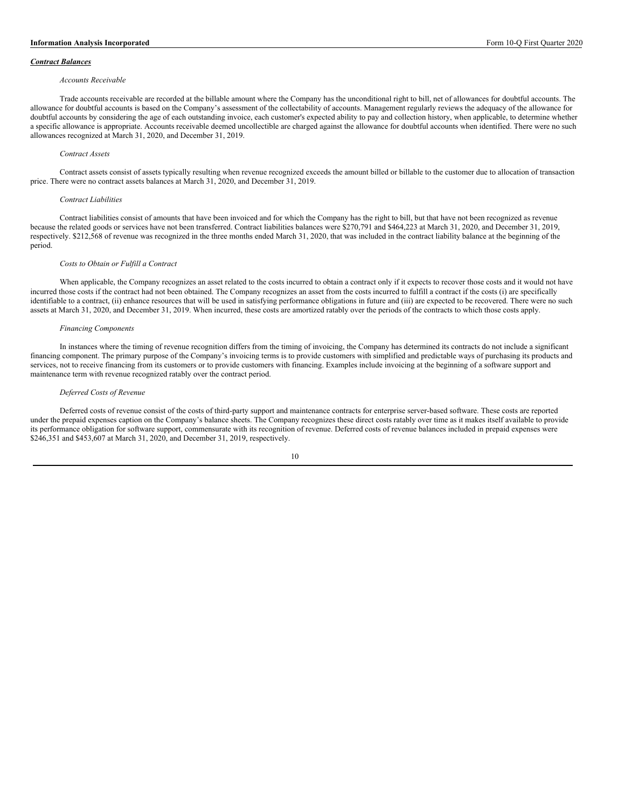# *Contract Balances*

#### *Accounts Receivable*

Trade accounts receivable are recorded at the billable amount where the Company has the unconditional right to bill, net of allowances for doubtful accounts. The allowance for doubtful accounts is based on the Company's assessment of the collectability of accounts. Management regularly reviews the adequacy of the allowance for doubtful accounts by considering the age of each outstanding invoice, each customer's expected ability to pay and collection history, when applicable, to determine whether a specific allowance is appropriate. Accounts receivable deemed uncollectible are charged against the allowance for doubtful accounts when identified. There were no such allowances recognized at March 31, 2020, and December 31, 2019.

### *Contract Assets*

Contract assets consist of assets typically resulting when revenue recognized exceeds the amount billed or billable to the customer due to allocation of transaction price. There were no contract assets balances at March 31, 2020, and December 31, 2019.

## *Contract Liabilities*

Contract liabilities consist of amounts that have been invoiced and for which the Company has the right to bill, but that have not been recognized as revenue because the related goods or services have not been transferred. Contract liabilities balances were \$270,791 and \$464,223 at March 31, 2020, and December 31, 2019, respectively. \$212,568 of revenue was recognized in the three months ended March 31, 2020, that was included in the contract liability balance at the beginning of the period.

## *Costs to Obtain or Fulfill a Contract*

When applicable, the Company recognizes an asset related to the costs incurred to obtain a contract only if it expects to recover those costs and it would not have incurred those costs if the contract had not been obtained. The Company recognizes an asset from the costs incurred to fulfill a contract if the costs (i) are specifically identifiable to a contract, (ii) enhance resources that will be used in satisfying performance obligations in future and (iii) are expected to be recovered. There were no such assets at March 31, 2020, and December 31, 2019. When incurred, these costs are amortized ratably over the periods of the contracts to which those costs apply.

#### *Financing Components*

In instances where the timing of revenue recognition differs from the timing of invoicing, the Company has determined its contracts do not include a significant financing component. The primary purpose of the Company's invoicing terms is to provide customers with simplified and predictable ways of purchasing its products and services, not to receive financing from its customers or to provide customers with financing. Examples include invoicing at the beginning of a software support and maintenance term with revenue recognized ratably over the contract period.

#### *Deferred Costs of Revenue*

Deferred costs of revenue consist of the costs of third-party support and maintenance contracts for enterprise server-based software. These costs are reported under the prepaid expenses caption on the Company's balance sheets. The Company recognizes these direct costs ratably over time as it makes itself available to provide its performance obligation for software support, commensurate with its recognition of revenue. Deferred costs of revenue balances included in prepaid expenses were \$246,351 and \$453,607 at March 31, 2020, and December 31, 2019, respectively.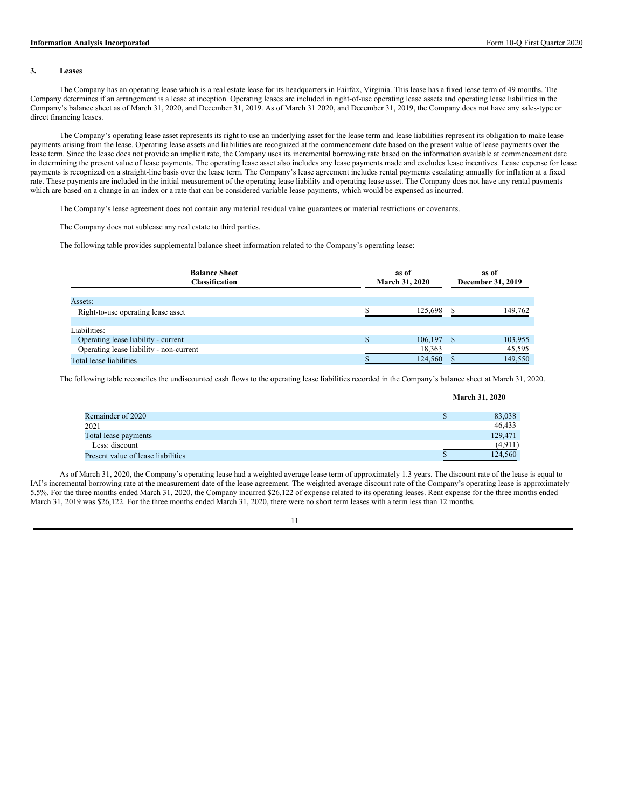# **3. Leases**

The Company has an operating lease which is a real estate lease for its headquarters in Fairfax, Virginia. This lease has a fixed lease term of 49 months. The Company determines if an arrangement is a lease at inception. Operating leases are included in right-of-use operating lease assets and operating lease liabilities in the Company's balance sheet as of March 31, 2020, and December 31, 2019. As of March 31 2020, and December 31, 2019, the Company does not have any sales-type or direct financing leases.

The Company's operating lease asset represents its right to use an underlying asset for the lease term and lease liabilities represent its obligation to make lease payments arising from the lease. Operating lease assets and liabilities are recognized at the commencement date based on the present value of lease payments over the lease term. Since the lease does not provide an implicit rate, the Company uses its incremental borrowing rate based on the information available at commencement date in determining the present value of lease payments. The operating lease asset also includes any lease payments made and excludes lease incentives. Lease expense for lease payments is recognized on a straight-line basis over the lease term. The Company's lease agreement includes rental payments escalating annually for inflation at a fixed rate. These payments are included in the initial measurement of the operating lease liability and operating lease asset. The Company does not have any rental payments which are based on a change in an index or a rate that can be considered variable lease payments, which would be expensed as incurred.

The Company's lease agreement does not contain any material residual value guarantees or material restrictions or covenants.

The Company does not sublease any real estate to third parties.

The following table provides supplemental balance sheet information related to the Company's operating lease:

| <b>Balance Sheet</b><br>Classification  | as of<br>March 31, 2020 | as of<br>December 31, 2019 |
|-----------------------------------------|-------------------------|----------------------------|
| Assets:                                 |                         |                            |
| Right-to-use operating lease asset      | 125,698                 | 149,762                    |
| Liabilities:                            |                         |                            |
| Operating lease liability - current     | \$                      | 103,955<br>$106,197$ \$    |
| Operating lease liability - non-current | 18,363                  | 45,595                     |
| Total lease liabilities                 | 124,560                 | 149,550                    |

The following table reconciles the undiscounted cash flows to the operating lease liabilities recorded in the Company's balance sheet at March 31, 2020.

|                                    | <b>March 31, 2020</b> |
|------------------------------------|-----------------------|
|                                    |                       |
| Remainder of 2020                  | 83,038                |
| 2021                               | 46,433                |
| Total lease payments               | 129,471               |
| Less: discount                     | (4,911)               |
| Present value of lease liabilities | 124,560               |

As of March 31, 2020, the Company's operating lease had a weighted average lease term of approximately 1.3 years. The discount rate of the lease is equal to IAI's incremental borrowing rate at the measurement date of the lease agreement. The weighted average discount rate of the Company's operating lease is approximately 5.5%. For the three months ended March 31, 2020, the Company incurred \$26,122 of expense related to its operating leases. Rent expense for the three months ended March 31, 2019 was \$26,122. For the three months ended March 31, 2020, there were no short term leases with a term less than 12 months.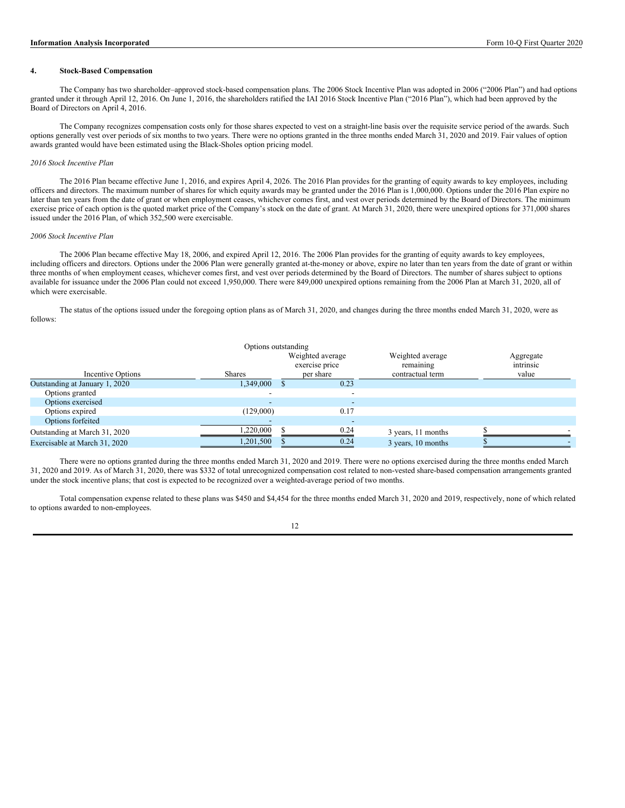## **4. Stock-Based Compensation**

The Company has two shareholder–approved stock-based compensation plans. The 2006 Stock Incentive Plan was adopted in 2006 ("2006 Plan") and had options granted under it through April 12, 2016. On June 1, 2016, the shareholders ratified the IAI 2016 Stock Incentive Plan ("2016 Plan"), which had been approved by the Board of Directors on April 4, 2016.

The Company recognizes compensation costs only for those shares expected to vest on a straight-line basis over the requisite service period of the awards. Such options generally vest over periods of six months to two years. There were no options granted in the three months ended March 31, 2020 and 2019. Fair values of option awards granted would have been estimated using the Black-Sholes option pricing model.

#### *2016 Stock Incentive Plan*

The 2016 Plan became effective June 1, 2016, and expires April 4, 2026. The 2016 Plan provides for the granting of equity awards to key employees, including officers and directors. The maximum number of shares for which equity awards may be granted under the 2016 Plan is 1,000,000. Options under the 2016 Plan expire no later than ten years from the date of grant or when employment ceases, whichever comes first, and vest over periods determined by the Board of Directors. The minimum exercise price of each option is the quoted market price of the Company's stock on the date of grant. At March 31, 2020, there were unexpired options for 371,000 shares issued under the 2016 Plan, of which 352,500 were exercisable.

#### *2006 Stock Incentive Plan*

The 2006 Plan became effective May 18, 2006, and expired April 12, 2016. The 2006 Plan provides for the granting of equity awards to key employees, including officers and directors. Options under the 2006 Plan were generally granted at-the-money or above, expire no later than ten years from the date of grant or within three months of when employment ceases, whichever comes first, and vest over periods determined by the Board of Directors. The number of shares subject to options available for issuance under the 2006 Plan could not exceed 1,950,000. There were 849,000 unexpired options remaining from the 2006 Plan at March 31, 2020, all of which were exercisable.

The status of the options issued under the foregoing option plans as of March 31, 2020, and changes during the three months ended March 31, 2020, were as follows:

| Options outstanding            |                          |                                    |                          |                               |  |                        |  |  |  |
|--------------------------------|--------------------------|------------------------------------|--------------------------|-------------------------------|--|------------------------|--|--|--|
|                                |                          | Weighted average<br>exercise price |                          | Weighted average<br>remaining |  | Aggregate<br>intrinsic |  |  |  |
| Incentive Options              | <b>Shares</b>            |                                    | per share                | contractual term              |  | value                  |  |  |  |
| Outstanding at January 1, 2020 | 1.349.000                |                                    | 0.23                     |                               |  |                        |  |  |  |
| Options granted                |                          |                                    | $\overline{\phantom{a}}$ |                               |  |                        |  |  |  |
| Options exercised              | $\overline{\phantom{a}}$ |                                    | $\overline{\phantom{a}}$ |                               |  |                        |  |  |  |
| Options expired                | (129,000)                |                                    | 0.17                     |                               |  |                        |  |  |  |
| Options forfeited              |                          |                                    | $\overline{\phantom{0}}$ |                               |  |                        |  |  |  |
| Outstanding at March 31, 2020  | ,220,000                 |                                    | 0.24                     | 3 years, 11 months            |  |                        |  |  |  |
| Exercisable at March 31, 2020  | 1,201,500                |                                    | 0.24                     | 3 years, 10 months            |  |                        |  |  |  |

There were no options granted during the three months ended March 31, 2020 and 2019. There were no options exercised during the three months ended March 31, 2020 and 2019. As of March 31, 2020, there was \$332 of total unrecognized compensation cost related to non-vested share-based compensation arrangements granted under the stock incentive plans; that cost is expected to be recognized over a weighted-average period of two months.

Total compensation expense related to these plans was \$450 and \$4,454 for the three months ended March 31, 2020 and 2019, respectively, none of which related to options awarded to non-employees.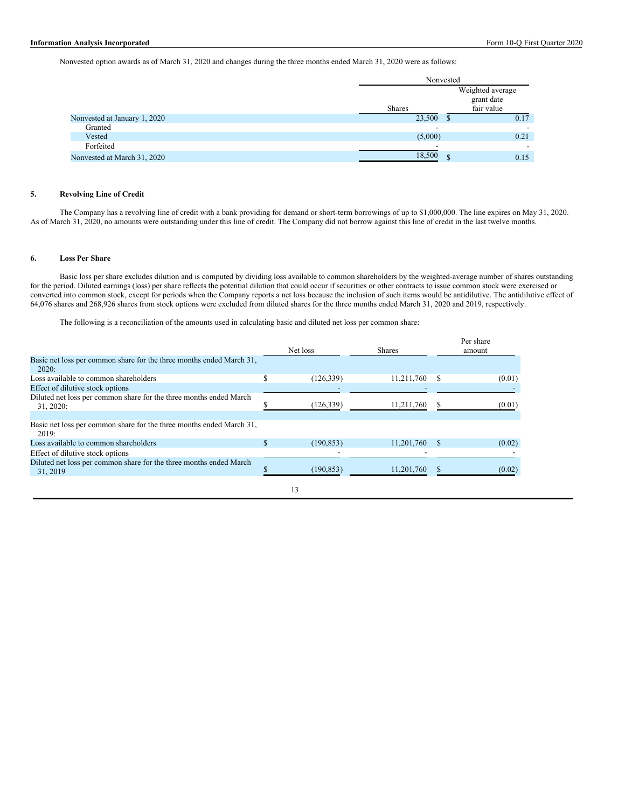Nonvested option awards as of March 31, 2020 and changes during the three months ended March 31, 2020 were as follows:

|                              |               | Nonvested                      |  |  |  |  |
|------------------------------|---------------|--------------------------------|--|--|--|--|
|                              |               | Weighted average<br>grant date |  |  |  |  |
|                              | <b>Shares</b> | fair value                     |  |  |  |  |
| Nonvested at January 1, 2020 | 23,500        | 0.17                           |  |  |  |  |
| Granted                      |               |                                |  |  |  |  |
| Vested                       | (5,000)       | 0.21                           |  |  |  |  |
| Forfeited                    |               |                                |  |  |  |  |
| Nonvested at March 31, 2020  | 18,500        | 0.15                           |  |  |  |  |

## **5. Revolving Line of Credit**

The Company has a revolving line of credit with a bank providing for demand or short-term borrowings of up to \$1,000,000. The line expires on May 31, 2020. As of March 31, 2020, no amounts were outstanding under this line of credit. The Company did not borrow against this line of credit in the last twelve months.

## **6. Loss Per Share**

Basic loss per share excludes dilution and is computed by dividing loss available to common shareholders by the weighted-average number of shares outstanding for the period. Diluted earnings (loss) per share reflects the potential dilution that could occur if securities or other contracts to issue common stock were exercised or converted into common stock, except for periods when the Company reports a net loss because the inclusion of such items would be antidilutive. The antidilutive effect of 64,076 shares and 268,926 shares from stock options were excluded from diluted shares for the three months ended March 31, 2020 and 2019, respectively.

The following is a reconciliation of the amounts used in calculating basic and diluted net loss per common share:

|                                                                                 |    | Net loss   | <b>Shares</b> | Per share<br>amount |
|---------------------------------------------------------------------------------|----|------------|---------------|---------------------|
| Basic net loss per common share for the three months ended March 31,<br>2020:   |    |            |               |                     |
| Loss available to common shareholders                                           |    | (126, 339) | 11,211,760    | (0.01)              |
| Effect of dilutive stock options                                                |    |            |               |                     |
| Diluted net loss per common share for the three months ended March<br>31, 2020: |    | (126,339)  | 11,211,760    | (0.01)              |
| Basic net loss per common share for the three months ended March 31,<br>2019:   |    |            |               |                     |
| Loss available to common shareholders                                           |    | (190, 853) | 11.201.760    | (0.02)              |
| Effect of dilutive stock options                                                |    |            |               |                     |
| Diluted net loss per common share for the three months ended March<br>31, 2019  |    | (190, 853) | 11,201,760    | (0.02)              |
|                                                                                 | 13 |            |               |                     |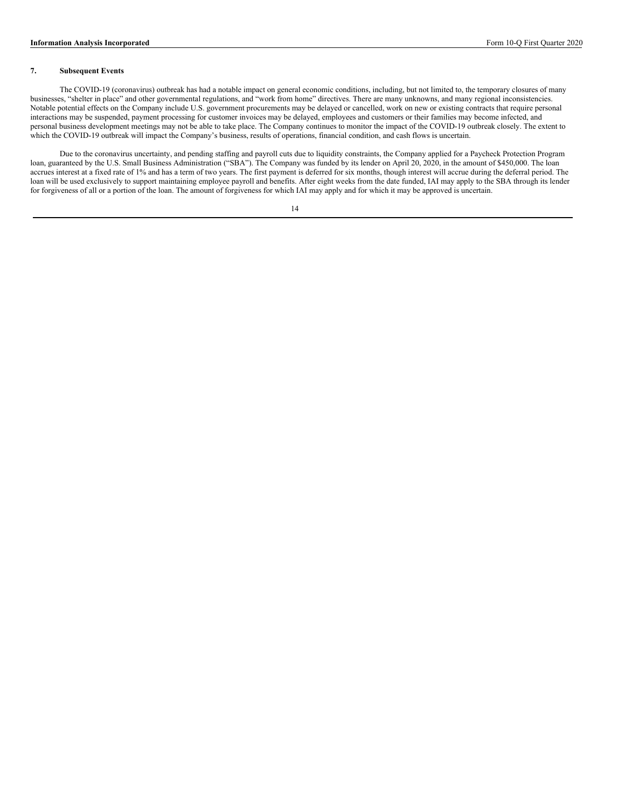## **7. Subsequent Events**

The COVID-19 (coronavirus) outbreak has had a notable impact on general economic conditions, including, but not limited to, the temporary closures of many businesses, "shelter in place" and other governmental regulations, and "work from home" directives. There are many unknowns, and many regional inconsistencies. Notable potential effects on the Company include U.S. government procurements may be delayed or cancelled, work on new or existing contracts that require personal interactions may be suspended, payment processing for customer invoices may be delayed, employees and customers or their families may become infected, and personal business development meetings may not be able to take place. The Company continues to monitor the impact of the COVID-19 outbreak closely. The extent to which the COVID-19 outbreak will impact the Company's business, results of operations, financial condition, and cash flows is uncertain.

Due to the coronavirus uncertainty, and pending staffing and payroll cuts due to liquidity constraints, the Company applied for a Paycheck Protection Program loan, guaranteed by the U.S. Small Business Administration ("SBA"). The Company was funded by its lender on April 20, 2020, in the amount of \$450,000. The loan accrues interest at a fixed rate of 1% and has a term of two years. The first payment is deferred for six months, though interest will accrue during the deferral period. The loan will be used exclusively to support maintaining employee payroll and benefits. After eight weeks from the date funded, IAI may apply to the SBA through its lender for forgiveness of all or a portion of the loan. The amount of forgiveness for which IAI may apply and for which it may be approved is uncertain.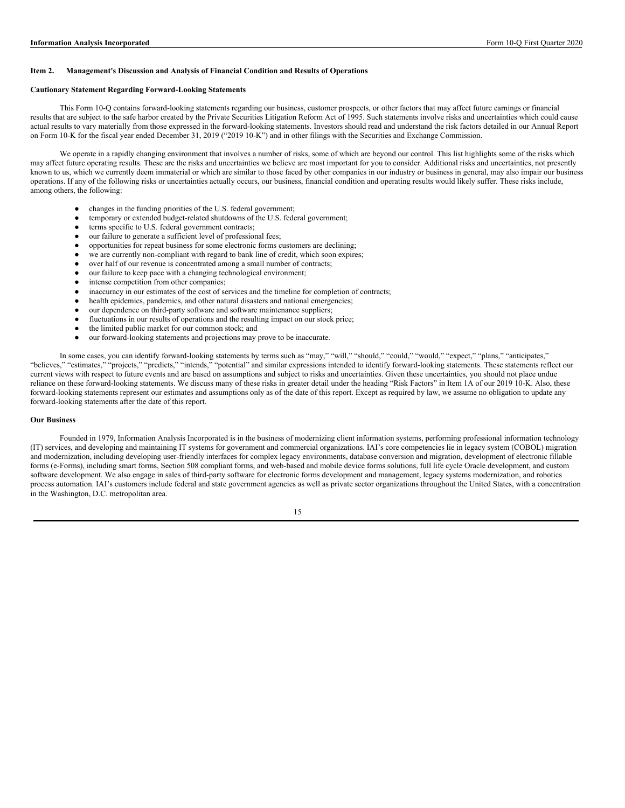## **Item 2. Management's Discussion and Analysis of Financial Condition and Results of Operations**

## **Cautionary Statement Regarding Forward-Looking Statements**

This Form 10-Q contains forward-looking statements regarding our business, customer prospects, or other factors that may affect future earnings or financial results that are subject to the safe harbor created by the Private Securities Litigation Reform Act of 1995. Such statements involve risks and uncertainties which could cause actual results to vary materially from those expressed in the forward-looking statements. Investors should read and understand the risk factors detailed in our Annual Report on Form 10-K for the fiscal year ended December 31, 2019 ("2019 10-K") and in other filings with the Securities and Exchange Commission.

We operate in a rapidly changing environment that involves a number of risks, some of which are beyond our control. This list highlights some of the risks which may affect future operating results. These are the risks and uncertainties we believe are most important for you to consider. Additional risks and uncertainties, not presently known to us, which we currently deem immaterial or which are similar to those faced by other companies in our industry or business in general, may also impair our business operations. If any of the following risks or uncertainties actually occurs, our business, financial condition and operating results would likely suffer. These risks include, among others, the following:

- changes in the funding priorities of the U.S. federal government;
- temporary or extended budget-related shutdowns of the U.S. federal government;
- terms specific to U.S. federal government contracts:
- our failure to generate a sufficient level of professional fees;
- opportunities for repeat business for some electronic forms customers are declining;
- we are currently non-compliant with regard to bank line of credit, which soon expires;
- over half of our revenue is concentrated among a small number of contracts;
- our failure to keep pace with a changing technological environment;
- intense competition from other companies;
- inaccuracy in our estimates of the cost of services and the timeline for completion of contracts;
- health epidemics, pandemics, and other natural disasters and national emergencies;
- our dependence on third-party software and software maintenance suppliers;
- fluctuations in our results of operations and the resulting impact on our stock price;
- the limited public market for our common stock; and
- our forward-looking statements and projections may prove to be inaccurate.

In some cases, you can identify forward-looking statements by terms such as "may," "will," "should," "could," "would," "expect," "plans," "anticipates," "believes," "estimates," "projects," "predicts," "intends," "potential" and similar expressions intended to identify forward-looking statements. These statements reflect our current views with respect to future events and are based on assumptions and subject to risks and uncertainties. Given these uncertainties, you should not place undue reliance on these forward-looking statements. We discuss many of these risks in greater detail under the heading "Risk Factors" in Item 1A of our 2019 10-K. Also, these forward-looking statements represent our estimates and assumptions only as of the date of this report. Except as required by law, we assume no obligation to update any forward-looking statements after the date of this report.

### **Our Business**

Founded in 1979, Information Analysis Incorporated is in the business of modernizing client information systems, performing professional information technology (IT) services, and developing and maintaining IT systems for government and commercial organizations. IAI's core competencies lie in legacy system (COBOL) migration and modernization, including developing user-friendly interfaces for complex legacy environments, database conversion and migration, development of electronic fillable forms (e-Forms), including smart forms, Section 508 compliant forms, and web-based and mobile device forms solutions, full life cycle Oracle development, and custom software development. We also engage in sales of third-party software for electronic forms development and management, legacy systems modernization, and robotics process automation. IAI's customers include federal and state government agencies as well as private sector organizations throughout the United States, with a concentration in the Washington, D.C. metropolitan area.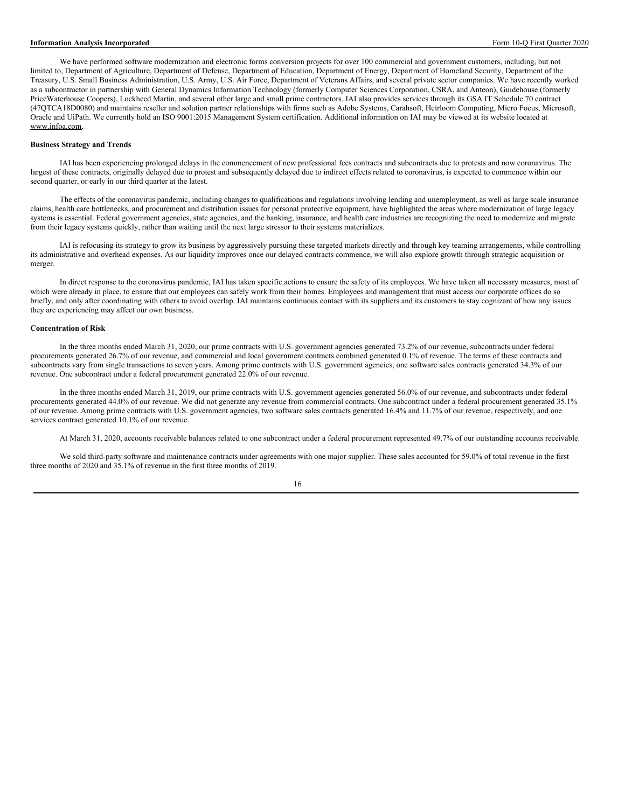## **Information Analysis Incorporated** Form 10-Q First Quarter 2020

We have performed software modernization and electronic forms conversion projects for over 100 commercial and government customers, including, but not limited to, Department of Agriculture, Department of Defense, Department of Education, Department of Energy, Department of Homeland Security, Department of the Treasury, U.S. Small Business Administration, U.S. Army, U.S. Air Force, Department of Veterans Affairs, and several private sector companies. We have recently worked as a subcontractor in partnership with General Dynamics Information Technology (formerly Computer Sciences Corporation, CSRA, and Anteon), Guidehouse (formerly PriceWaterhouse Coopers), Lockheed Martin, and several other large and small prime contractors. IAI also provides services through its GSA IT Schedule 70 contract (47QTCA18D0080) and maintains reseller and solution partner relationships with firms such as Adobe Systems, Carahsoft, Heirloom Computing, Micro Focus, Microsoft, Oracle and UiPath. We currently hold an ISO 9001:2015 Management System certification. Additional information on IAI may be viewed at its website located at www.infoa.com.

## **Business Strategy and Trends**

IAI has been experiencing prolonged delays in the commencement of new professional fees contracts and subcontracts due to protests and now coronavirus. The largest of these contracts, originally delayed due to protest and subsequently delayed due to indirect effects related to coronavirus, is expected to commence within our second quarter, or early in our third quarter at the latest.

The effects of the coronavirus pandemic, including changes to qualifications and regulations involving lending and unemployment, as well as large scale insurance claims, health care bottlenecks, and procurement and distribution issues for personal protective equipment, have highlighted the areas where modernization of large legacy systems is essential. Federal government agencies, state agencies, and the banking, insurance, and health care industries are recognizing the need to modernize and migrate from their legacy systems quickly, rather than waiting until the next large stressor to their systems materializes.

IAI is refocusing its strategy to grow its business by aggressively pursuing these targeted markets directly and through key teaming arrangements, while controlling its administrative and overhead expenses. As our liquidity improves once our delayed contracts commence, we will also explore growth through strategic acquisition or merger.

In direct response to the coronavirus pandemic, IAI has taken specific actions to ensure the safety of its employees. We have taken all necessary measures, most of which were already in place, to ensure that our employees can safely work from their homes. Employees and management that must access our corporate offices do so briefly, and only after coordinating with others to avoid overlap. IAI maintains continuous contact with its suppliers and its customers to stay cognizant of how any issues they are experiencing may affect our own business.

#### **Concentration of Risk**

In the three months ended March 31, 2020, our prime contracts with U.S. government agencies generated 73.2% of our revenue, subcontracts under federal procurements generated 26.7% of our revenue, and commercial and local government contracts combined generated 0.1% of revenue. The terms of these contracts and subcontracts vary from single transactions to seven years. Among prime contracts with U.S. government agencies, one software sales contracts generated 34.3% of our revenue. One subcontract under a federal procurement generated 22.0% of our revenue.

In the three months ended March 31, 2019, our prime contracts with U.S. government agencies generated 56.0% of our revenue, and subcontracts under federal procurements generated 44.0% of our revenue. We did not generate any revenue from commercial contracts. One subcontract under a federal procurement generated 35.1% of our revenue. Among prime contracts with U.S. government agencies, two software sales contracts generated 16.4% and 11.7% of our revenue, respectively, and one services contract generated 10.1% of our revenue.

At March 31, 2020, accounts receivable balances related to one subcontract under a federal procurement represented 49.7% of our outstanding accounts receivable.

We sold third-party software and maintenance contracts under agreements with one major supplier. These sales accounted for 59.0% of total revenue in the first three months of 2020 and 35.1% of revenue in the first three months of 2019.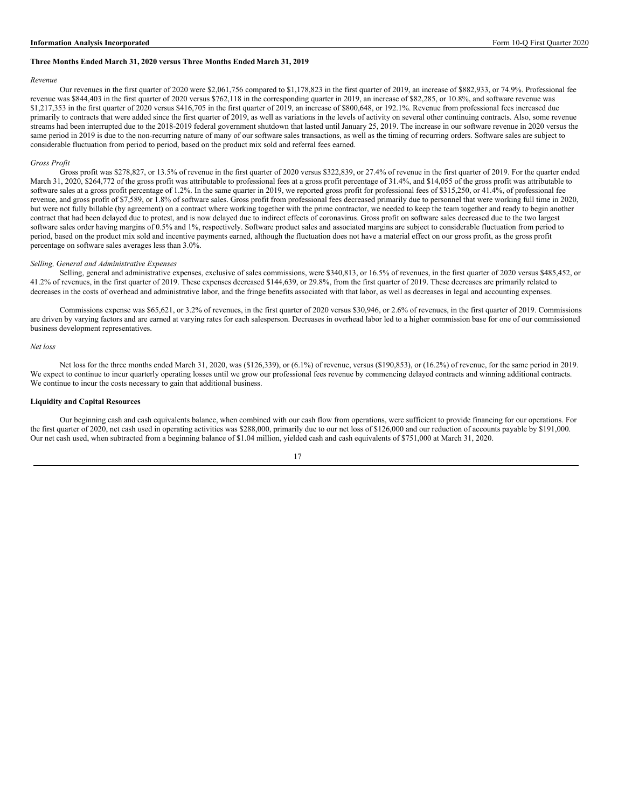## **Three Months Ended March 31, 2020 versus Three Months EndedMarch 31, 2019**

#### *Revenue*

Our revenues in the first quarter of 2020 were \$2,061,756 compared to \$1,178,823 in the first quarter of 2019, an increase of \$882,933, or 74.9%. Professional fee revenue was \$844,403 in the first quarter of 2020 versus \$762,118 in the corresponding quarter in 2019, an increase of \$82,285, or 10.8%, and software revenue was \$1,217,353 in the first quarter of 2020 versus \$416,705 in the first quarter of 2019, an increase of \$800,648, or 192.1%. Revenue from professional fees increased due primarily to contracts that were added since the first quarter of 2019, as well as variations in the levels of activity on several other continuing contracts. Also, some revenue streams had been interrupted due to the 2018-2019 federal government shutdown that lasted until January 25, 2019. The increase in our software revenue in 2020 versus the same period in 2019 is due to the non-recurring nature of many of our software sales transactions, as well as the timing of recurring orders. Software sales are subject to considerable fluctuation from period to period, based on the product mix sold and referral fees earned.

#### *Gross Profit*

Gross profit was \$278,827, or 13.5% of revenue in the first quarter of 2020 versus \$322,839, or 27.4% of revenue in the first quarter of 2019. For the quarter ended March 31, 2020, \$264,772 of the gross profit was attributable to professional fees at a gross profit percentage of 31.4%, and \$14,055 of the gross profit was attributable to software sales at a gross profit percentage of 1.2%. In the same quarter in 2019, we reported gross profit for professional fees of \$315,250, or 41.4%, of professional fee revenue, and gross profit of \$7,589, or 1.8% of software sales. Gross profit from professional fees decreased primarily due to personnel that were working full time in 2020, but were not fully billable (by agreement) on a contract where working together with the prime contractor, we needed to keep the team together and ready to begin another contract that had been delayed due to protest, and is now delayed due to indirect effects of coronavirus. Gross profit on software sales decreased due to the two largest software sales order having margins of 0.5% and 1%, respectively. Software product sales and associated margins are subject to considerable fluctuation from period to period, based on the product mix sold and incentive payments earned, although the fluctuation does not have a material effect on our gross profit, as the gross profit percentage on software sales averages less than 3.0%.

## *Selling, General and Administrative Expenses*

Selling, general and administrative expenses, exclusive of sales commissions, were \$340,813, or 16.5% of revenues, in the first quarter of 2020 versus \$485,452, or 41.2% of revenues, in the first quarter of 2019. These expenses decreased \$144,639, or 29.8%, from the first quarter of 2019. These decreases are primarily related to decreases in the costs of overhead and administrative labor, and the fringe benefits associated with that labor, as well as decreases in legal and accounting expenses.

Commissions expense was \$65,621, or 3.2% of revenues, in the first quarter of 2020 versus \$30,946, or 2.6% of revenues, in the first quarter of 2019. Commissions are driven by varying factors and are earned at varying rates for each salesperson. Decreases in overhead labor led to a higher commission base for one of our commissioned business development representatives.

#### *Net loss*

Net loss for the three months ended March 31, 2020, was (\$126,339), or (6.1%) of revenue, versus (\$190,853), or (16.2%) of revenue, for the same period in 2019. We expect to continue to incur quarterly operating losses until we grow our professional fees revenue by commencing delayed contracts and winning additional contracts. We continue to incur the costs necessary to gain that additional business.

#### **Liquidity and Capital Resources**

Our beginning cash and cash equivalents balance, when combined with our cash flow from operations, were sufficient to provide financing for our operations. For the first quarter of 2020, net cash used in operating activities was \$288,000, primarily due to our net loss of \$126,000 and our reduction of accounts payable by \$191,000. Our net cash used, when subtracted from a beginning balance of \$1.04 million, yielded cash and cash equivalents of \$751,000 at March 31, 2020.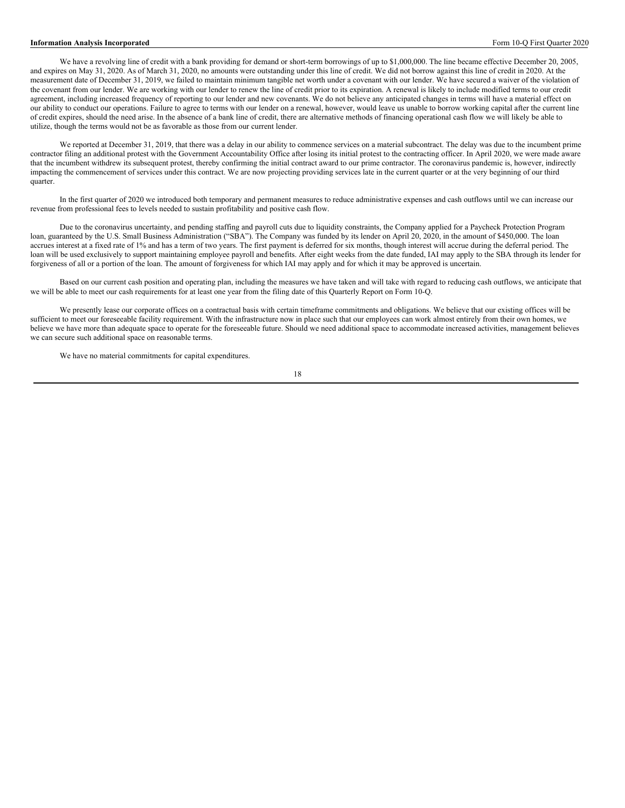## **Information Analysis Incorporated** Form 10-Q First Quarter 2020

We have a revolving line of credit with a bank providing for demand or short-term borrowings of up to \$1,000,000. The line became effective December 20, 2005, and expires on May 31, 2020. As of March 31, 2020, no amounts were outstanding under this line of credit. We did not borrow against this line of credit in 2020. At the measurement date of December 31, 2019, we failed to maintain minimum tangible net worth under a covenant with our lender. We have secured a waiver of the violation of the covenant from our lender. We are working with our lender to renew the line of credit prior to its expiration. A renewal is likely to include modified terms to our credit agreement, including increased frequency of reporting to our lender and new covenants. We do not believe any anticipated changes in terms will have a material effect on our ability to conduct our operations. Failure to agree to terms with our lender on a renewal, however, would leave us unable to borrow working capital after the current line of credit expires, should the need arise. In the absence of a bank line of credit, there are alternative methods of financing operational cash flow we will likely be able to utilize, though the terms would not be as favorable as those from our current lender.

We reported at December 31, 2019, that there was a delay in our ability to commence services on a material subcontract. The delay was due to the incumbent prime contractor filing an additional protest with the Government Accountability Office after losing its initial protest to the contracting officer. In April 2020, we were made aware that the incumbent withdrew its subsequent protest, thereby confirming the initial contract award to our prime contractor. The coronavirus pandemic is, however, indirectly impacting the commencement of services under this contract. We are now projecting providing services late in the current quarter or at the very beginning of our third quarter.

In the first quarter of 2020 we introduced both temporary and permanent measures to reduce administrative expenses and cash outflows until we can increase our revenue from professional fees to levels needed to sustain profitability and positive cash flow.

Due to the coronavirus uncertainty, and pending staffing and payroll cuts due to liquidity constraints, the Company applied for a Paycheck Protection Program loan, guaranteed by the U.S. Small Business Administration ("SBA"). The Company was funded by its lender on April 20, 2020, in the amount of \$450,000. The loan accrues interest at a fixed rate of 1% and has a term of two years. The first payment is deferred for six months, though interest will accrue during the deferral period. The loan will be used exclusively to support maintaining employee payroll and benefits. After eight weeks from the date funded, IAI may apply to the SBA through its lender for forgiveness of all or a portion of the loan. The amount of forgiveness for which IAI may apply and for which it may be approved is uncertain.

Based on our current cash position and operating plan, including the measures we have taken and will take with regard to reducing cash outflows, we anticipate that we will be able to meet our cash requirements for at least one year from the filing date of this Quarterly Report on Form 10-Q.

We presently lease our corporate offices on a contractual basis with certain timeframe commitments and obligations. We believe that our existing offices will be sufficient to meet our foreseeable facility requirement. With the infrastructure now in place such that our employees can work almost entirely from their own homes, we believe we have more than adequate space to operate for the foreseeable future. Should we need additional space to accommodate increased activities, management believes we can secure such additional space on reasonable terms.

We have no material commitments for capital expenditures.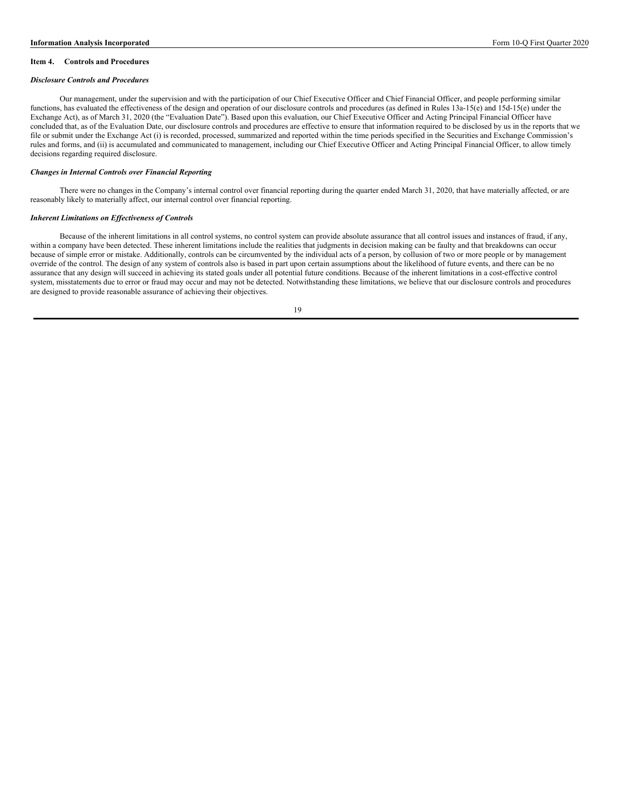## **Item 4. Controls and Procedures**

#### *Disclosure Controls and Procedures*

Our management, under the supervision and with the participation of our Chief Executive Officer and Chief Financial Officer, and people performing similar functions, has evaluated the effectiveness of the design and operation of our disclosure controls and procedures (as defined in Rules 13a-15(e) and 15d-15(e) under the Exchange Act), as of March 31, 2020 (the "Evaluation Date"). Based upon this evaluation, our Chief Executive Officer and Acting Principal Financial Officer have concluded that, as of the Evaluation Date, our disclosure controls and procedures are effective to ensure that information required to be disclosed by us in the reports that we file or submit under the Exchange Act (i) is recorded, processed, summarized and reported within the time periods specified in the Securities and Exchange Commission's rules and forms, and (ii) is accumulated and communicated to management, including our Chief Executive Officer and Acting Principal Financial Officer, to allow timely decisions regarding required disclosure.

### *Changes in Internal Controls over Financial Reporting*

There were no changes in the Company's internal control over financial reporting during the quarter ended March 31, 2020, that have materially affected, or are reasonably likely to materially affect, our internal control over financial reporting.

## *Inherent Limitations on Ef ectiveness of Controls*

Because of the inherent limitations in all control systems, no control system can provide absolute assurance that all control issues and instances of fraud, if any, within a company have been detected. These inherent limitations include the realities that judgments in decision making can be faulty and that breakdowns can occur because of simple error or mistake. Additionally, controls can be circumvented by the individual acts of a person, by collusion of two or more people or by management override of the control. The design of any system of controls also is based in part upon certain assumptions about the likelihood of future events, and there can be no assurance that any design will succeed in achieving its stated goals under all potential future conditions. Because of the inherent limitations in a cost-effective control system, misstatements due to error or fraud may occur and may not be detected. Notwithstanding these limitations, we believe that our disclosure controls and procedures are designed to provide reasonable assurance of achieving their objectives.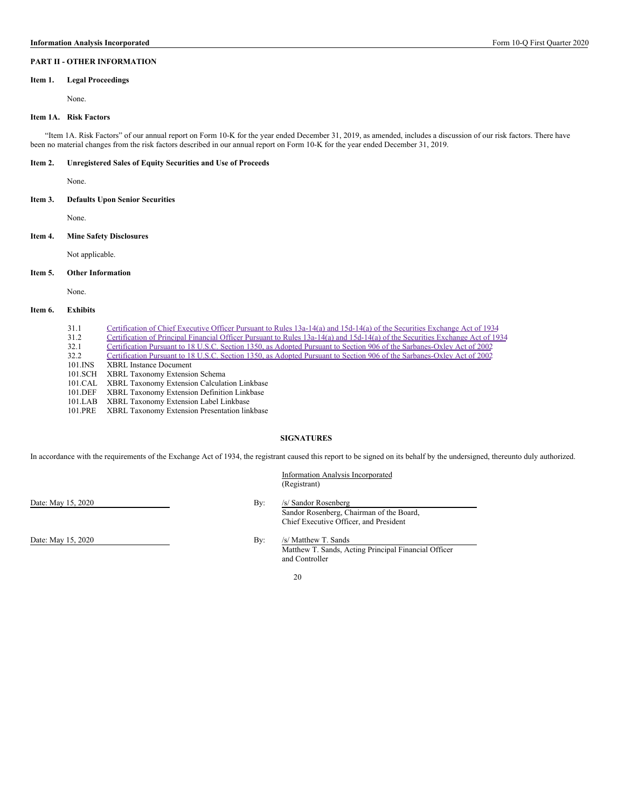# **PART II - OTHER INFORMATION**

### **Item 1. Legal Proceedings**

None.

# **Item 1A. Risk Factors**

"Item 1A. Risk Factors" of our annual report on Form 10-K for the year ended December 31, 2019, as amended, includes a discussion of our risk factors. There have been no material changes from the risk factors described in our annual report on Form 10-K for the year ended December 31, 2019.

# **Item 2. Unregistered Sales of Equity Securities and Use of Proceeds**

None.

## **Item 3. Defaults Upon Senior Securities**

None.

**Item 4. Mine Safety Disclosures**

Not applicable.

## **Item 5. Other Information**

None.

# **Item 6. Exhibits**

| 31.1<br>31.2 | Certification of Chief Executive Officer Pursuant to Rules 13a-14(a) and 15d-14(a) of the Securities Exchange Act of 1934<br>Certification of Principal Financial Officer Pursuant to Rules 13a-14(a) and 15d-14(a) of the Securities Exchange Act of 1934 |
|--------------|------------------------------------------------------------------------------------------------------------------------------------------------------------------------------------------------------------------------------------------------------------|
| 32.1         | Certification Pursuant to 18 U.S.C. Section 1350, as Adopted Pursuant to Section 906 of the Sarbanes-Oxley Act of 2002                                                                                                                                     |
| 32.2         | Certification Pursuant to 18 U.S.C. Section 1350, as Adopted Pursuant to Section 906 of the Sarbanes-Oxley Act of 2002                                                                                                                                     |
| 101.INS      | <b>XBRL Instance Document</b>                                                                                                                                                                                                                              |
|              | 101.SCH XBRL Taxonomy Extension Schema                                                                                                                                                                                                                     |
|              | 101.CAL XBRL Taxonomy Extension Calculation Linkbase                                                                                                                                                                                                       |
|              | 101.DEF XBRL Taxonomy Extension Definition Linkbase                                                                                                                                                                                                        |
|              | 101.LAB XBRL Taxonomy Extension Label Linkbase                                                                                                                                                                                                             |

101.PRE XBRL Taxonomy Extension Presentation linkbase

# **SIGNATURES**

In accordance with the requirements of the Exchange Act of 1934, the registrant caused this report to be signed on its behalf by the undersigned, thereunto duly authorized.

Information Analysis Incorporated (Registrant)

Date: May 15, 2020 By: /s/ Sandor Rosenberg

Sandor Rosenberg, Chairman of the Board, Chief Executive Officer, and President

Date: May 15, 2020 By: /s/ Matthew T. Sands Matthew T. Sands, Acting Principal Financial Officer and Controller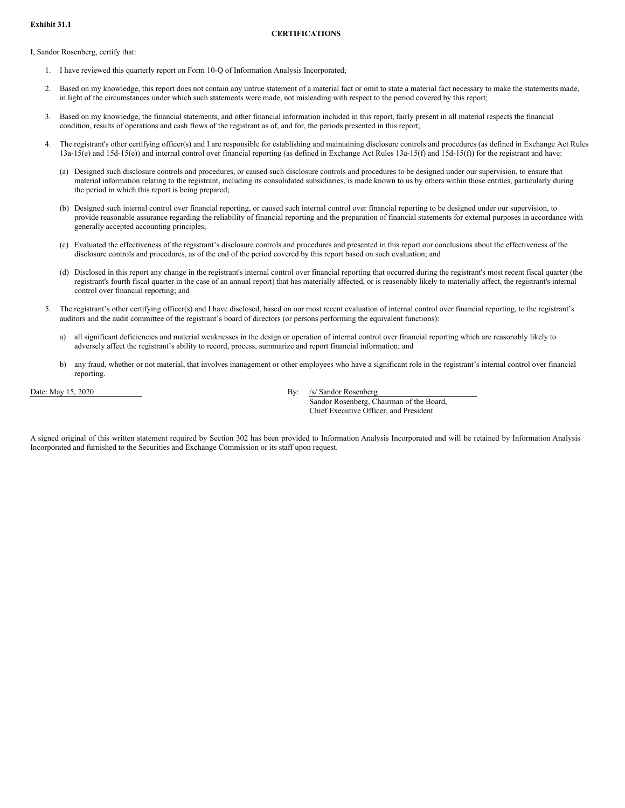### **CERTIFICATIONS**

<span id="page-20-0"></span>I, Sandor Rosenberg, certify that:

- 1. I have reviewed this quarterly report on Form 10-Q of Information Analysis Incorporated;
- 2. Based on my knowledge, this report does not contain any untrue statement of a material fact or omit to state a material fact necessary to make the statements made, in light of the circumstances under which such statements were made, not misleading with respect to the period covered by this report;
- 3. Based on my knowledge, the financial statements, and other financial information included in this report, fairly present in all material respects the financial condition, results of operations and cash flows of the registrant as of, and for, the periods presented in this report;
- 4. The registrant's other certifying officer(s) and I are responsible for establishing and maintaining disclosure controls and procedures (as defined in Exchange Act Rules  $13a-15(e)$  and  $15d-15(e)$ ) and internal control over financial reporting (as defined in Exchange Act Rules  $13a-15(f)$  and  $15d-15(f)$ ) for the registrant and have:
	- (a) Designed such disclosure controls and procedures, or caused such disclosure controls and procedures to be designed under our supervision, to ensure that material information relating to the registrant, including its consolidated subsidiaries, is made known to us by others within those entities, particularly during the period in which this report is being prepared;
	- (b) Designed such internal control over financial reporting, or caused such internal control over financial reporting to be designed under our supervision, to provide reasonable assurance regarding the reliability of financial reporting and the preparation of financial statements for external purposes in accordance with generally accepted accounting principles;
	- (c) Evaluated the effectiveness of the registrant's disclosure controls and procedures and presented in this report our conclusions about the effectiveness of the disclosure controls and procedures, as of the end of the period covered by this report based on such evaluation; and
	- (d) Disclosed in this report any change in the registrant's internal control over financial reporting that occurred during the registrant's most recent fiscal quarter (the registrant's fourth fiscal quarter in the case of an annual report) that has materially affected, or is reasonably likely to materially affect, the registrant's internal control over financial reporting; and
- 5. The registrant's other certifying officer(s) and I have disclosed, based on our most recent evaluation of internal control over financial reporting, to the registrant's auditors and the audit committee of the registrant's board of directors (or persons performing the equivalent functions):
	- a) all significant deficiencies and material weaknesses in the design or operation of internal control over financial reporting which are reasonably likely to adversely affect the registrant's ability to record, process, summarize and report financial information; and
	- b) any fraud, whether or not material, that involves management or other employees who have a significant role in the registrant's internal control over financial reporting.

Date: May 15, 2020 By: /s/ Sandor Rosenberg

Sandor Rosenberg, Chairman of the Board, Chief Executive Officer, and President

A signed original of this written statement required by Section 302 has been provided to Information Analysis Incorporated and will be retained by Information Analysis Incorporated and furnished to the Securities and Exchange Commission or its staff upon request.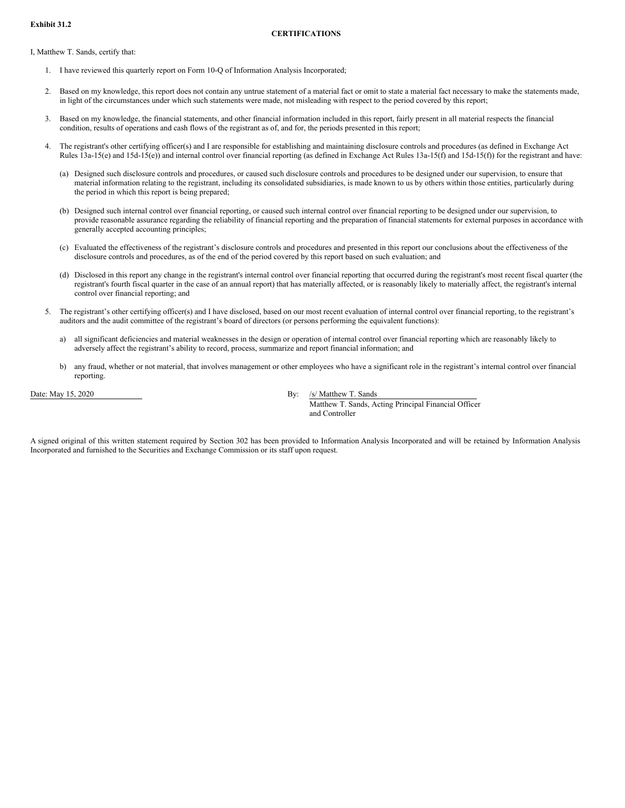### **CERTIFICATIONS**

<span id="page-21-0"></span>I, Matthew T. Sands, certify that:

- 1. I have reviewed this quarterly report on Form 10-Q of Information Analysis Incorporated;
- 2. Based on my knowledge, this report does not contain any untrue statement of a material fact or omit to state a material fact necessary to make the statements made, in light of the circumstances under which such statements were made, not misleading with respect to the period covered by this report;
- 3. Based on my knowledge, the financial statements, and other financial information included in this report, fairly present in all material respects the financial condition, results of operations and cash flows of the registrant as of, and for, the periods presented in this report;
- 4. The registrant's other certifying officer(s) and I are responsible for establishing and maintaining disclosure controls and procedures (as defined in Exchange Act Rules 13a-15(e) and 15d-15(e)) and internal control over financial reporting (as defined in Exchange Act Rules 13a-15(f) and 15d-15(f)) for the registrant and have:
	- (a) Designed such disclosure controls and procedures, or caused such disclosure controls and procedures to be designed under our supervision, to ensure that material information relating to the registrant, including its consolidated subsidiaries, is made known to us by others within those entities, particularly during the period in which this report is being prepared;
	- (b) Designed such internal control over financial reporting, or caused such internal control over financial reporting to be designed under our supervision, to provide reasonable assurance regarding the reliability of financial reporting and the preparation of financial statements for external purposes in accordance with generally accepted accounting principles;
	- (c) Evaluated the effectiveness of the registrant's disclosure controls and procedures and presented in this report our conclusions about the effectiveness of the disclosure controls and procedures, as of the end of the period covered by this report based on such evaluation; and
	- (d) Disclosed in this report any change in the registrant's internal control over financial reporting that occurred during the registrant's most recent fiscal quarter (the registrant's fourth fiscal quarter in the case of an annual report) that has materially affected, or is reasonably likely to materially affect, the registrant's internal control over financial reporting; and
- 5. The registrant's other certifying officer(s) and I have disclosed, based on our most recent evaluation of internal control over financial reporting, to the registrant's auditors and the audit committee of the registrant's board of directors (or persons performing the equivalent functions):
	- a) all significant deficiencies and material weaknesses in the design or operation of internal control over financial reporting which are reasonably likely to adversely affect the registrant's ability to record, process, summarize and report financial information; and
	- b) any fraud, whether or not material, that involves management or other employees who have a significant role in the registrant's internal control over financial reporting.

Date: May 15, 2020 By: /s/ Matthew T. Sands

Matthew T. Sands, Acting Principal Financial Officer and Controller

A signed original of this written statement required by Section 302 has been provided to Information Analysis Incorporated and will be retained by Information Analysis Incorporated and furnished to the Securities and Exchange Commission or its staff upon request.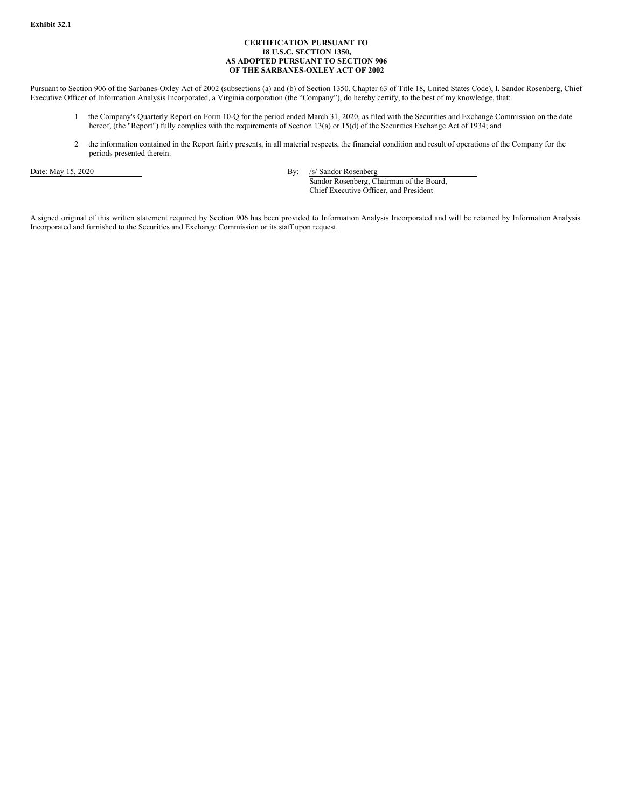## **CERTIFICATION PURSUANT TO 18 U.S.C. SECTION 1350, AS ADOPTED PURSUANT TO SECTION 906 OF THE SARBANES-OXLEY ACT OF 2002**

<span id="page-22-0"></span>Pursuant to Section 906 of the Sarbanes-Oxley Act of 2002 (subsections (a) and (b) of Section 1350, Chapter 63 of Title 18, United States Code), I, Sandor Rosenberg, Chief Executive Officer of Information Analysis Incorporated, a Virginia corporation (the "Company"), do hereby certify, to the best of my knowledge, that:

- 1 the Company's Quarterly Report on Form 10-Q for the period ended March 31, 2020, as filed with the Securities and Exchange Commission on the date hereof, (the "Report") fully complies with the requirements of Section 13(a) or 15(d) of the Securities Exchange Act of 1934; and
- 2 the information contained in the Report fairly presents, in all material respects, the financial condition and result of operations of the Company for the periods presented therein.

Date: May 15, 2020 By: /s/ Sandor Rosenberg

Sandor Rosenberg, Chairman of the Board, Chief Executive Officer, and President

A signed original of this written statement required by Section 906 has been provided to Information Analysis Incorporated and will be retained by Information Analysis Incorporated and furnished to the Securities and Exchange Commission or its staff upon request.